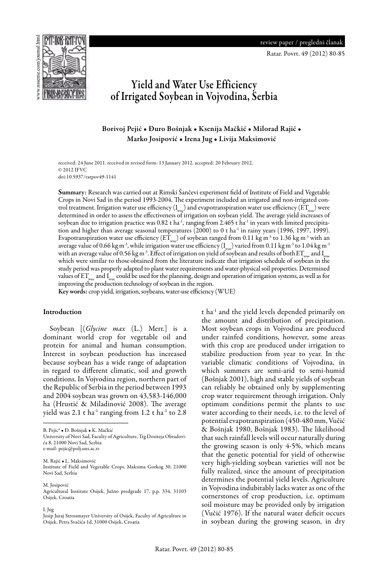<u>PEJIMB REFIQU</u> Ratar. Povrt. 49 (2012) 80-85



# Yield and Water Use Efficiency of Irrigated Soybean in Vojvodina, Serbia

## Borivoj Pejić • Đuro Bošnjak • Ksenija Mačkić • Milorad Rajić • Marko Josipović • Irena Jug • Livija Maksimović

received: 24 June 2011. received in revised form: 13 January 2012. accepted: 20 February 2012. © 2012 IFVC doi:10.5937/ratpov49-1141

Summary: Research was carried out at Rimski Šančevi experiment field of Institute of Field and Vegetable Crops in Novi Sad in the period 1993-2004. The experiment included an irrigated and non-irrigated control treatment. Irrigation water use efficiency  $(I_{\text{max}})$  and evapotranspiration water use efficiency  $(ET_{\text{max}})$  were determined in order to assess the effectiveness of irrigation on soybean yield. The average yield increases of soybean due to irrigation practice was  $0.82$  t ha<sup>-1</sup>, ranging from 2.465 t ha<sup>-1</sup> in years with limited precipitation and higher than average seasonal temperatures (2000) to 0 t ha<sup>-1</sup> in rainy years (1996, 1997, 1999). Evapotranspiration water use efficiency ( $ET_{wuc}$ ) of soybean ranged from 0.11 kg m<sup>-3</sup> to 1.36 kg m<sup>-3</sup> with an average value of 0.66 kg m<sup>-3</sup>, while irrigation water use efficiency ( $I_{\text{wuc}}$ ) varied from 0.11 kg m<sup>-3</sup> to 1.04 kg m<sup>-3</sup> with an average value of 0.56 kg m<sup>-3</sup>. Effect of irrigation on yield of soybean and results of both  $ET_{\text{max}}$  and I<sub>ume</sub> which were similar to those obtained from the literature indicate that irrigation schedule of soybean in the study period was properly adapted to plant water requirements and water-physical soil properties. Determined values of  $ET_{\text{wire}}$  and  $I_{\text{wire}}$  could be used for the planning, design and operation of irrigation systems, as well as for improving the production technology of soybean in the region.

Key words: crop yield, irrigation, soybeans, water-use efficiency (WUE)

#### Introduction

Soybean [(*Glycine max* (L.) Merr.] is a dominant world crop for vegetable oil and protein for animal and human consumption. Interest in soybean production has increased because soybean has a wide range of adaptation in regard to different climatic, soil and growth conditions. In Vojvodina region, northern part of the Republic of Serbia in the period between 1993 and 2004 soybean was grown on 43,583-146,000 ha (Hrustić & Miladinović 2008). The average yield was 2.1 t ha<sup>-1</sup> ranging from 1.2 t ha<sup>-1</sup> to 2.8

M. Josipović Agricultural Institute Osijek, Južno predgrađe 17, p.p. 334, 31103 Osijek, Croatia

I. Jug

t ha-1 and the yield levels depended primarily on the amount and distribution of precipitation. Most soybean crops in Vojvodina are produced under rainfed conditions, however, some areas with this crop are produced under irrigation to stabilize production from year to year. In the variable climatic conditions of Vojvodina, in which summers are semi-arid to semi-humid (Bošnjak 2001), high and stable yields of soybean can reliably be obtained only by supplementing crop water requirement through irrigation. Only optimum conditions permit the plants to use water according to their needs, i.e. to the level of potential evapotranspiration (450-480 mm, Vučić & Bošnjak 1980, Bošnjak 1983). The likelihood that such rainfall levels will occur naturally during the growing season is only 4-5%, which means that the genetic potential for yield of otherwise very high-yielding soybean varieties will not be fully realized, since the amount of precipitation determines the potential yield levels. Agriculture in Vojvodina indubitably lacks water as one of the cornerstones of crop production, i.e. optimum soil moisture may be provided only by irrigation (Vučić 1976). If the natural water deficit occurs in soybean during the growing season, in dry

B. Pejic\* • Đ. Bošnjak • K. Mačkić

University of Novi Sad, Faculty of Agriculture, Trg Dositeja Obradovića 8, 21000 Novi Sad, Serbia e-mail: pejic@polj.uns.ac.rs

M. Rajić • L. Maksimović Institute of Field and Vegetable Crops, Maksima Gorkog 30, 21000 Novi Sad, Serbia

Josip Juraj Strossmayer University of Osijek, Faculty of Agriculture in Osijek, Petra Svačića 1d, 31000 Osijek, Croatia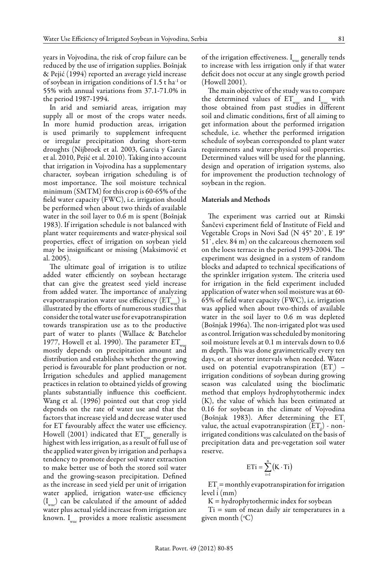years in Vojvodina, the risk of crop failure can be reduced by the use of irrigation supplies. Bošnjak & Pejić (1994) reported an average yield increase of soybean in irrigation conditions of 1.5 t ha-1 or 55% with annual variations from 37.1-71.0% in the period 1987-1994.

In arid and semiarid areas, irrigation may supply all or most of the crops water needs. In more humid production areas, irrigation is used primarily to supplement infrequent or irregular precipitation during short-term droughts (Nijbroek et al. 2003, Garcia y Garcia et al. 2010, Pejić et al. 2010). Taking into account that irrigation in Vojvodina has a supplementary character, soybean irrigation scheduling is of most importance. The soil moisture technical minimum (SMTM) for this crop is 60-65% of the field water capacity (FWC), i.e. irrigation should be performed when about two thirds of available water in the soil layer to 0.6 m is spent (Bošnjak 1983). If irrigation schedule is not balanced with plant water requirements and water-physical soil properties, effect of irrigation on soybean yield may be insignificant or missing (Maksimović et al. 2005).

The ultimate goal of irrigation is to utilize added water efficiently on soybean hectarage that can give the greatest seed yield increase from added water. The importance of analyzing evapotranspiration water use efficiency  $(ET_{wuc})$  is illustrated by the efforts of numerous studies that consider the total water use for evapotranspiration towards transpiration use as to the productive part of water to plants (Wallace & Batchelor 1977, Howell et al. 1990). The parameter  $ET_{w}$ mostly depends on precipitation amount and distribution and establishes whether the growing period is favourable for plant production or not. Irrigation schedules and applied management practices in relation to obtained yields of growing plants substantially influence this coefficient. Wang et al. (1996) pointed out that crop yield depends on the rate of water use and that the factors that increase yield and decrease water used for ET favourably affect the water use efficiency. Howell (2001) indicated that  $ET_{\text{wuc}}$  generally is highest with less irrigation, as a result of full use of the applied water given by irrigation and perhaps a tendency to promote deeper soil water extraction to make better use of both the stored soil water and the growing-season precipitation. Defined as the increase in seed yield per unit of irrigation water applied, irrigation water-use efficiency  $(I_{\text{max}})$  can be calculated if the amount of added water plus actual yield increase from irrigation are  $\hskip1cm Ti = \hbox{sum}$ known.  $I_{\text{wuc}}$  provides a more realistic assessment

of the irrigation effectiveness. Iwne generally tends to increase with less irrigation only if that water deficit does not occur at any single growth period (Howell 2001).

The main objective of the study was to compare the determined values of  $ET_{wue}$  and  $I_{wue}$  with those obtained from past studies in different soil and climatic conditions, first of all aiming to get information about the performed irrigation schedule, i.e. whether the performed irrigation schedule of soybean corresponded to plant water requirements and water-physical soil properties. Determined values will be used for the planning, design and operation of irrigation systems, also for improvement the production technology of soybean in the region.

#### Materials and Methods

The experiment was carried out at Rimski Šančevi experiment field of Institute of Field and Vegetable Crops in Novi Sad (N 45° 20`, E 19° 51`, elev. 84 m) on the calcareous chernozem soil on the loess terrace in the period 1993-2004. The experiment was designed in a system of random blocks and adapted to technical specifications of the sprinkler irrigation system. The criteria used for irrigation in the field experiment included application of water when soil moisture was at 60- 65% of field water capacity (FWC), i.e. irrigation was applied when about two-thirds of available water in the soil layer to 0.6 m was depleted (Bošnjak 1996a). The non-irrigated plot was used as control. Irrigation was scheduled by monitoring soil moisture levels at 0.1 m intervals down to 0.6 m depth. This was done gravimetrically every ten days, or at shorter intervals when needed. Water used on potential evapotranspiration  $(ET_i)$  – irrigation conditions of soybean during growing season was calculated using the bioclimatic method that employs hydrophytothermic index (K), the value of which has been estimated at 0.16 for soybean in the climate of Vojvodina (Bošnjak 1983). After determining the  $ET_i$ value, the actual evapotranspiration  $(ET_d)$  - nonirrigated conditions was calculated on the basis of precipitation data and pre-vegetation soil water reserve.

$$
\mathrm{ET}i = \sum_{i=1}^n \bigl(K \cdot \mathrm{Ti}\bigr)
$$

irrigation  $ET_i = \text{monthly evaporation}$  for irrigation efficiency level i (mm)

of added  $K = \frac{h}{d}$  hydrophytothermic index for soybean

 $T_1 = \frac{1}{2} \pi \frac{1}{2} \pi \frac{1}{2} \pi \frac{1}{2} \pi \frac{1}{2} \pi \frac{1}{2} \pi \frac{1}{2} \pi \frac{1}{2} \pi \frac{1}{2} \pi \frac{1}{2} \pi \frac{1}{2} \pi \frac{1}{2} \pi \frac{1}{2} \pi \frac{1}{2} \pi \frac{1}{2} \pi \frac{1}{2} \pi \frac{1}{2} \pi \frac{1}{2} \pi \frac{1}{2} \pi \frac{1}{2} \pi \frac{1}{2} \pi \frac{1}{2} \pi \frac{1}{2} \pi \frac{1}{2} \pi$ given month (°C)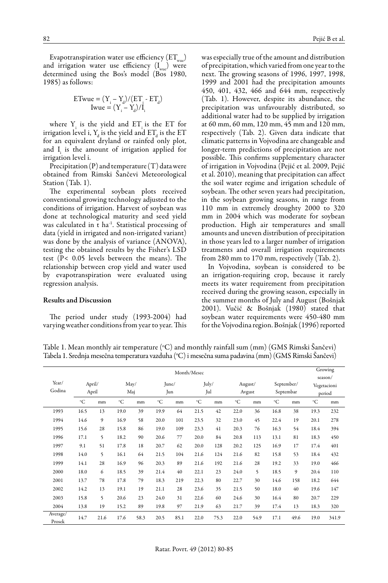Evapotranspiration water use efficiency  $(ET_{wuc})$ and irrigation water use efficiency  $(I_{\text{wuc}})$  were determined using the Bos's model (Bos 1980, 1985) as follows:

$$
\begin{array}{c} \textrm{ETwue} = (\Upsilon_{\textrm{i}} - \Upsilon_{\textrm{d}}) / (\textrm{ET}_{\textrm{i}} \cdot \textrm{ET}_{\textrm{d}}) \\ \textrm{Iwue} = (\Upsilon_{\textrm{i}} - \Upsilon_{\textrm{d}}) / \textrm{I}_{\textrm{i}} \end{array}
$$

where  $Y_i$  is the yield and  $ET_i$  is the ET for irrigation level i,  $Y_d$  is the yield and  $ET_d$  is the  $ET$ for an equivalent dryland or rainfed only plot, and  $I_i$  is the amount of irrigation applied for irrigation level i.

Precipitation  $(P)$  and temperature  $(T)$  data were obtained from Rimski Šančevi Meteorological Station (Tab. 1).

The experimental soybean plots received conventional growing technology adjusted to the conditions of irrigation. Harvest of soybean was done at technological maturity and seed yield was calculated in t ha<sup>-1</sup>. Statistical processing of data (yield in irrigated and non-irrigated variant) was done by the analysis of variance (ANOVA), testing the obtained results by the Fisher's LSD test (P< 0.05 levels between the means). The relationship between crop yield and water used by evapotranspiration were evaluated using regression analysis.

#### Results and Discussion

The period under study (1993-2004) had varying weather conditions from year to year. This was especially true of the amount and distribution of precipitation, which varied from one year to the next. The growing seasons of 1996, 1997, 1998, 1999 and 2001 had the precipitation amounts 450, 401, 432, 466 and 644 mm, respectively (Tab. 1). However, despite its abundance, the precipitation was unfavourably distributed, so additional water had to be supplied by irrigation at 60 mm, 60 mm, 120 mm, 45 mm and 120 mm, respectively (Tab. 2). Given data indicate that climatic patterns in Vojvodina are changeable and longer-term predictions of precipitation are not possible. This confirms supplementary character of irrigation in Vojvodina (Pejić et al. 2009, Pejić et al. 2010), meaning that precipitation can affect the soil water regime and irrigation schedule of soybean. The other seven years had precipitation, in the soybean growing seasons, in range from 110 mm in extremely droughty 2000 to 320 mm in 2004 which was moderate for soybean production. High air temperatures and small amounts and uneven distribution of precipitation in those years led to a larger number of irrigation treatments and overall irrigation requirements from 280 mm to 170 mm, respectively (Tab. 2).

In Vojvodina, soybean is considered to be an irrigation-requiring crop, because it rarely meets its water requirement from precipitation received during the growing season, especially in the summer months of July and August (Bošnjak 2001). Vučić & Bošnjak (1980) stated that soybean water requirements were 450-480 mm for the Vojvodina region. Bošnjak (1996) reported

Table 1. Mean monthly air temperature (°C) and monthly rainfall sum (mm) (GMS Rimski Šančevi) Tabela 1. Srednja mesečna temperatura vazduha (°C) i mesečna suma padavina (mm) (GMS Rimski Sančevi)

| Month/Mesec        |                 |      |             |      |              |      |              |      |                   |      | Growing                 |      |                       |       |
|--------------------|-----------------|------|-------------|------|--------------|------|--------------|------|-------------------|------|-------------------------|------|-----------------------|-------|
|                    |                 |      |             |      |              |      |              |      |                   |      | season/                 |      |                       |       |
| Year/              | April/<br>April |      | May/<br>Maj |      | June/<br>Jun |      | July/<br>Jul |      | August/<br>Avgust |      | September/<br>Septembar |      | Vegetacioni<br>period |       |
| Godina             |                 |      |             |      |              |      |              |      |                   |      |                         |      |                       |       |
|                    | °C              | mm   | °C          | mm   | $^{\circ}C$  | mm   | $^{\circ}C$  | mm   | °C                | mm   | $^{\circ}C$             | mm   | °C                    | mm    |
| 1993               | 16.5            | 13   | 19.0        | 39   | 19.9         | 64   | 21.5         | 42   | 22.0              | 36   | 16.8                    | 38   | 19.3                  | 232   |
| 1994               | 14.6            | 9    | 16.9        | 58   | 20.0         | 101  | 23.5         | 32   | 23.0              | 45   | 22.4                    | 19   | 20.1                  | 278   |
| 1995               | 15.6            | 28   | 15.8        | 86   | 19.0         | 109  | 23.3         | 41   | 20.3              | 76   | 16.3                    | 54   | 18.4                  | 394   |
| 1996               | 17.1            | 5    | 18.2        | 90   | 20.6         | 77   | 20.0         | 84   | 20.8              | 113  | 13.1                    | 81   | 18.3                  | 450   |
| 1997               | 9.1             | 51   | 17.8        | 18   | 20.7         | 62   | 20.0         | 128  | 20.2              | 125  | 16.9                    | 17   | 17.4                  | 401   |
| 1998               | 14.0            | 5    | 16.1        | 64   | 21.5         | 104  | 21.6         | 124  | 21.6              | 82   | 15.8                    | 53   | 18.4                  | 432   |
| 1999               | 14.1            | 28   | 16.9        | 96   | 20.3         | 89   | 21.6         | 192  | 21.6              | 28   | 19.2                    | 33   | 19.0                  | 466   |
| 2000               | 18.0            | 6    | 18.5        | 39   | 21.4         | 40   | 22.1         | 23   | 24.0              | 5    | 18.5                    | 9    | 20.4                  | 110   |
| 2001               | 13.7            | 78   | 17.8        | 79   | 18.3         | 219  | 22.3         | 80   | 22.7              | 30   | 14.6                    | 158  | 18.2                  | 644   |
| 2002               | 14.2            | 13   | 19.1        | 19   | 21.1         | 28   | 23.6         | 35   | 21.5              | 50   | 18.0                    | 40   | 19.6                  | 147   |
| 2003               | 15.8            | 5    | 20.6        | 23   | 24.0         | 31   | 22.6         | 60   | 24.6              | 30   | 16.4                    | 80   | 20.7                  | 229   |
| 2004               | 13.8            | 19   | 15.2        | 89   | 19.8         | 97   | 21.9         | 63   | 21.7              | 39   | 17.4                    | 13   | 18.3                  | 320   |
| Average/<br>Prosek | 14.7            | 21.6 | 17.6        | 58.3 | 20.5         | 85.1 | 22.0         | 75.3 | 22.0              | 54.9 | 17.1                    | 49.6 | 19.0                  | 341.9 |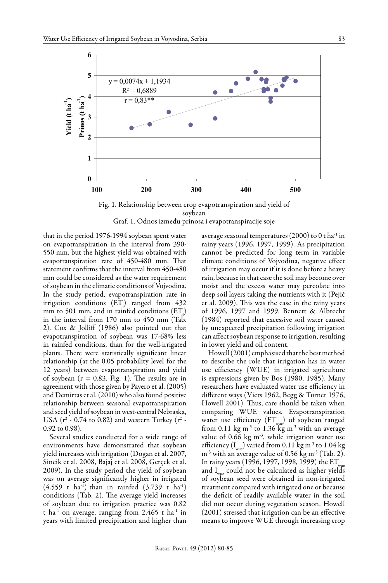

Fig. 1. Relationship between crop evapotranspiration and yield of **Evapotranspiracija (mm)** soybean Graf. 1. Odnos između prinosa i evapotranspiracije soje

that in the period  $1976-1994$  soybean spent water on evapotranspiration in the interval from 390- 550 mm, but the highest yield was obtained with evapotranspiration rate of 450-480 mm. That statement confirms that the interval from 450-480 mm could be considered as the water requirement of soybean in the climatic conditions of Vojvodina. In the study period, evapotranspiration rate in irrigation conditions  $(ET_i)$  ranged from 432 mm to 501 mm, and in rainfed conditions  $(ET_d)$ in the interval from 170 mm to 450 mm (Tab. 2). Cox & Jolliff (1986) also pointed out that evapotranspiration of soybean was 17-68% less in rainfed conditions, than for the well-irrigated plants. There were statistically significant linear relationship (at the 0.05 probability level for the 12 years) between evapotranspiration and yield of soybean  $(r = 0.83,$  Fig. 1). The results are in agreement with those given by Payero et al. (2005) and Demirtas et al. (2010) who also found positive relationship between seasonal evapotranspiration and seed yield of soybean in west-central Nebraska, USA ( $r^2$  - 0.74 to 0.82) and western Turkey ( $r^2$  -0.92 to 0.98).

Several studies conducted for a wide range of environments have demonstrated that soybean yield increases with irrigation (Dogan et al. 2007, Sincik et al. 2008, Bajaj et al. 2008, Gerçek et al. 2009). In the study period the yield of soybean was on average significantly higher in irrigated  $(4.559 \text{ t} \text{ ha}^{-1})$  than in rainfed  $(3.739 \text{ t} \text{ ha}^{-1})$ conditions (Tab. 2). The average yield increases of soybean due to irrigation practice was 0.82 t ha<sup>-1</sup> on average, ranging from  $2.465$  t ha<sup>-1</sup> in years with limited precipitation and higher than

average seasonal temperatures  $(2000)$  to 0 t ha<sup>-1</sup> in rainy years (1996, 1997, 1999). As precipitation 550 mm, but the highest yield was obtained with and sannot be predicted for long term in variable evapotranspiration rate of 450-480 mm. That climate conditions of Vojvodina, negative effect statement confirms that the interval from 450-480 of irrigation may occur if it is done before a heavy rain, because in that case the soil may become over moist and the excess water may percolate into deep soil layers taking the nutrients with it (Pejić et al. 2009). This was the case in the rainy years of 1996, 1997 and 1999. Bennett & Albrecht (1984) reported that excessive soil water caused by unexpected precipitation following irrigation can affect soybean response to irrigation, resulting in lower yield and oil content.

Howell (2001) emphasised that the best method to describe the role that irrigation has in water use efficiency (WUE) in irrigated agriculture is expressions given by Bos (1980, 1985). Many researchers have evaluated water use efficiency in different ways (Viets 1962, Begg & Turner 1976, Howell 2001). Thus, care should be taken when comparing WUE values. Evapotranspiration water use efficiency  $(ET_{\text{wuc}})$  of soybean ranged from 0.11 kg m<sup>-3</sup> to 1.36 kg m<sup>-3</sup> with an average value of 0.66 kg  $m<sup>3</sup>$ , while irrigation water use efficiency  $(I_{\text{max}})$  varied from 0.11 kg m<sup>-3</sup> to 1.04 kg  $m<sup>-3</sup>$  with an average value of 0.56 kg m<sup>-3</sup> (Tab. 2). In rainy years (1996, 1997, 1998, 1999) the ET and  $I_{\text{wuc}}$  could not be calculated as higher yields of soybean seed were obtained in non-irrigated treatment compared with irrigated one or because the deficit of readily available water in the soil did not occur during vegetation season. Howell (2001) stressed that irrigation can be an effective means to improve WUE through increasing crop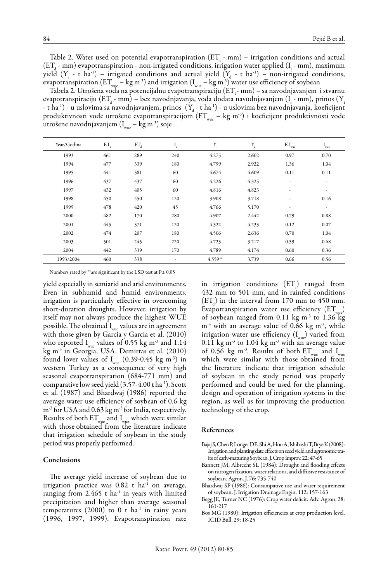Table 2. Water used on potential evapotranspiration  $(ET_i - mm) - irrigation conditions and actual$  $(ET<sub>d</sub> - mm)$  evapotranspiration - non-irrigated conditions, irrigation water applied  $(I<sub>i</sub> - mm)$ , maximum yield  $(Y_i - t \text{ ha}^{-1})$  – irrigated conditions and actual yield  $(Y_d - t \text{ ha}^{-1})$  – non-irrigated conditions, evapotranspiration  $(ET_{wuc} - kg m^{-3})$  and irrigation  $(I_{wuc} - kg m^{-3})$  water use efficiency of soybean

Tabela 2. Utrošena voda na potencijalnu evapotranspiraciju  $(ET - mm) -$ sa navodnjavanjem i stvarnu evapotranspiraciju (ET $_{\rm d}$  - mm) – bez navodnjavanja, voda dodata navodnjavanjem (I $_{\rm i}$  - mm), prinos (Y - t ha<sup>-1</sup>) - u uslovima sa navodnjavanjem, prinos  $(Y_d - t \text{ ha}^{-1})$  - u uslovima bez navodnjavanja, koeficijent produktivnosti vode utrošene evapotranspiracijom (ETwie – kg m<sup>-3</sup>) i koeficijent produktivnosti vode utrošene navodnjavanjem  $(I_{\text{true}} - \text{kg m}^{-3})$  soje

| Year/Godina | ET  | ET <sub>d</sub> | ı,  | $\mathbf{Y}_{_{\!1}}$ | $\mathbf{Y}_{\!\scriptscriptstyle \mathrm{d}}$ | $\text{ET}_{\!\!{}_{\text{wuc}}}$ | $\mathbf{I}_{\text{wuc}}$ |
|-------------|-----|-----------------|-----|-----------------------|------------------------------------------------|-----------------------------------|---------------------------|
| 1993        | 461 | 289             | 240 | 4.275                 | 2.602                                          | 0.97                              | 0.70                      |
| 1994        | 477 | 339             | 180 | 4.799                 | 2.922                                          | 1.36                              | 1.04                      |
| 1995        | 441 | 381             | 60  | 4.674                 | 4.609                                          | 0.11                              | 0.11                      |
| 1996        | 437 | 437             | 60  | 4.226                 | 4.325                                          | ٠                                 | ٠                         |
| 1997        | 432 | 405             | 60  | 4.816                 | 4.823                                          | ٠                                 | $\overline{\phantom{a}}$  |
| 1998        | 450 | 450             | 120 | 3.908                 | 3.718                                          | ٠                                 | 0.16                      |
| 1999        | 478 | 420             | 45  | 4.766                 | 5.170                                          | ٠                                 | ٠                         |
| 2000        | 482 | 170             | 280 | 4.907                 | 2.442                                          | 0.79                              | 0.88                      |
| 2001        | 445 | 371             | 120 | 4.322                 | 4.233                                          | 0.12                              | 0.07                      |
| 2002        | 474 | 207             | 180 | 4.506                 | 2.636                                          | 0.70                              | 1.04                      |
| 2003        | 501 | 245             | 220 | 4.723                 | 3.217                                          | 0.59                              | 0.68                      |
| 2004        | 442 | 339             | 170 | 4.789                 | 4.174                                          | 0.60                              | 0.36                      |
| 1993/2004   | 460 | 338             | ٠   | $4.559**$             | 3.739                                          | 0.66                              | 0.56                      |

Numbers rated by \*\*are significant by the LSD test at P≤ 0.05

yield especially in semiarid and arid environments. Even in subhumid and humid environments, irrigation is particularly effective in overcoming short-duration droughts. However, irrigation by itself may not always produce the highest WUE possible. The obtained  $I_{\text{wuc}}$  values are in agreement with those given by Garcia y Garcia et al. (2010) who reported  $I_{\text{wuc}}$  values of 0.55 kg m<sup>-3</sup> and 1.14 kg m-3 in Georgia, USA. Demirtas et al. (2010) found lover values of  $I_{wuc}$  (0.39-0.45 kg m<sup>-3</sup>) in western Turkey as a consequence of very high seasonal evapotranspiration (684-771 mm) and comparative low seed yield (3.57-4.00 t ha-1). Scott et al. (1987) and Bhardwaj (1986) reported the average water use efficiency of soybean of 0.6 kg m<sup>-3</sup> for USA and 0.63 kg m<sup>-3</sup> for India, respectively. Results of both  $ET_{wuc}$  and  $I_{wuc}$  which were similar with those obtained from the literature indicate that irrigation schedule of soybean in the study period was properly performed.

#### **Conclusions**

The average yield increase of soybean due to irrigation practice was 0.82 t ha<sup>-1</sup> on average, ranging from  $2.465$  t ha<sup>-1</sup> in years with limited precipitation and higher than average seasonal temperatures (2000) to 0 t ha<sup>-1</sup> in rainy years (1996, 1997, 1999). Evapotranspiration rate

in irrigation conditions  $(ET_i)$  ranged from 432 mm to 501 mm, and in rainfed conditions  $(ET<sub>d</sub>)$  in the interval from 170 mm to 450 mm. Evapotranspiration water use efficiency  $(ET_{max})$ of soybean ranged from  $0.11 \text{ kg m}^3$  to  $1.36 \text{ kg}$  $m^{-3}$  with an average value of 0.66 kg  $m^{-3}$ , while irrigation water use efficiency  $(I_{wuc})$  varied from 0.11 kg m<sup>-3</sup> to 1.04 kg m<sup>-3</sup> with an average value of 0.56 kg m<sup>-3</sup>. Results of both  $ET_{\text{max}}$  and  $I_{\text{max}}$ which were similar with those obtained from the literature indicate that irrigation schedule of soybean in the study period was properly performed and could be used for the planning, design and operation of irrigation systems in the region, as well as for improving the production technology of the crop.

#### References

- Bajaj S, Chen P, Longer DE, Shi A, Hou A, Ishibashi T, Brye K (2008): Irrigation and planting date effects on seed yield and agronomic traits of early-maturing Soybean. J. Crop Improv. 22: 47-65
- Bannett JM, Albrecht SL (1984): Drought and flooding effects on nitrogen fixation, water relations, and diffusive resistance of soybean. Agron. J. 76: 735-740
- Bhardwaj SP (1986): Consumpative use and water requirement of soybean. J. Irrigation Drainage Engin. 112: 157-163
- Begg JE, Turner NC (1976): Crop water deficit. Adv. Agron. 28: 161-217
- Bos MG (1980): Irrigation efficiencies at crop production level. ICID Bull. 29: 18-25